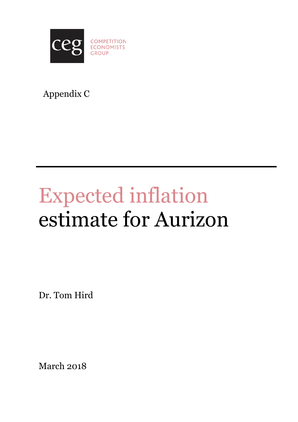

# Appendix C

# Expected inflation estimate for Aurizon

Dr. Tom Hird

March 2018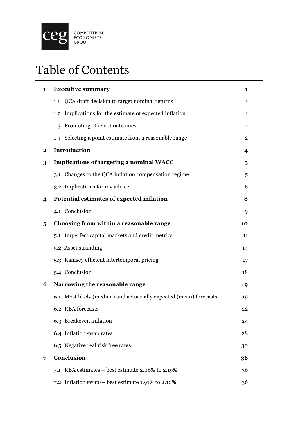

# Table of Contents

| $\mathbf{1}$ | <b>Executive summary</b>                                           | 1  |
|--------------|--------------------------------------------------------------------|----|
|              | 1.1 QCA draft decision to target nominal returns                   | 1  |
|              | 1.2 Implications for the estimate of expected inflation            | 1  |
|              | 1.3 Promoting efficient outcomes                                   | 1  |
|              | 1.4 Selecting a point estimate from a reasonable range             | 2  |
| $\bf{2}$     | Introduction                                                       | 4  |
| 3            | <b>Implications of targeting a nominal WACC</b>                    | 5  |
|              | 3.1 Changes to the QCA inflation compensation regime               | 5  |
|              | 3.2 Implications for my advice                                     | 6  |
| 4            | Potential estimates of expected inflation                          | 8  |
|              | 4.1 Conclusion                                                     | 9  |
| 5            | Choosing from within a reasonable range                            | 10 |
|              | 5.1 Imperfect capital markets and credit metrics                   | 11 |
|              | 5.2 Asset stranding                                                | 14 |
|              | 5.3 Ramsey efficient intertemporal pricing                         | 17 |
|              | 5.4 Conclusion                                                     | 18 |
| 6            | Narrowing the reasonable range                                     | 19 |
|              | 6.1 Most likely (median) and actuarially expected (mean) forecasts | 19 |
|              | 6.2 RBA forecasts                                                  | 22 |
|              | 6.3 Breakeven inflation                                            | 24 |
|              | 6.4 Inflation swap rates                                           | 28 |
|              | 6.5 Negative real risk free rates                                  | 30 |
| 7            | Conclusion                                                         | 36 |
|              | 7.1 RBA estimates – best estimate 2.06% to 2.19%                   | 36 |
|              | 7.2 Inflation swaps- best estimate 1.91% to 2.10%                  | 36 |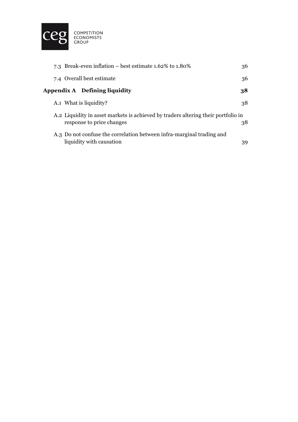

| 7.3 Break-even inflation – best estimate $1.62\%$ to $1.80\%$                                                  | 36 |
|----------------------------------------------------------------------------------------------------------------|----|
| 7.4 Overall best estimate                                                                                      | 36 |
| Appendix A Defining liquidity                                                                                  | 38 |
| A.1 What is liquidity?                                                                                         | 38 |
| A.2 Liquidity in asset markets is achieved by traders altering their portfolio in<br>response to price changes | 38 |
| A.3 Do not confuse the correlation between infra-marginal trading and<br>liquidity with causation              | 39 |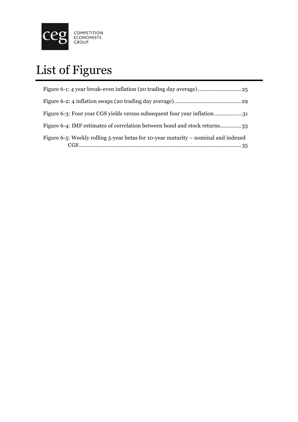

# List of Figures

| Figure 6-3: Four year CGS yields versus subsequent four year inflation31           |
|------------------------------------------------------------------------------------|
| Figure 6-4: IMF estimates of correlation between bond and stock returns33          |
| Figure 6-5: Weekly rolling 5-year betas for 10-year maturity – nominal and indexed |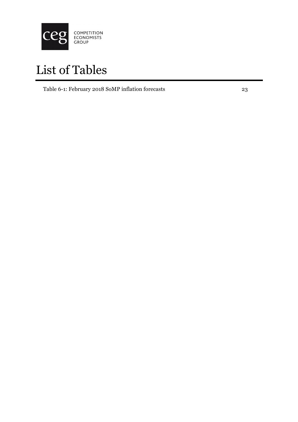

# List of Tables

Table 6-1: February 2018 SoMP inflation forecasts 23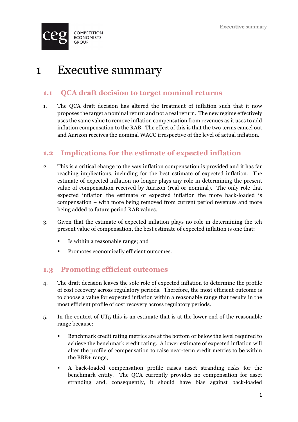

# 1 Executive summary

### **1.1 QCA draft decision to target nominal returns**

1. The QCA draft decision has altered the treatment of inflation such that it now proposes the target a nominal return and not a real return. The new regime effectively uses the same value to remove inflation compensation from revenues as it uses to add inflation compensation to the RAB. The effect of this is that the two terms cancel out and Aurizon receives the nominal WACC irrespective of the level of actual inflation.

### **1.2 Implications for the estimate of expected inflation**

- 2. This is a critical change to the way inflation compensation is provided and it has far reaching implications, including for the best estimate of expected inflation. The estimate of expected inflation no longer plays any role in determining the present value of compensation received by Aurizon (real or nominal). The only role that expected inflation the estimate of expected inflation the more back-loaded is compensation – with more being removed from current period revenues and more being added to future period RAB values.
- 3. Given that the estimate of expected inflation plays no role in determining the teh present value of compensation, the best estimate of expected inflation is one that:
	- Is within a reasonable range; and
	- Promotes economically efficient outcomes.

#### **1.3 Promoting efficient outcomes**

- 4. The draft decision leaves the sole role of expected inflation to determine the profile of cost recovery across regulatory periods. Therefore, the most efficient outcome is to choose a value for expected inflation within a reasonable range that results in the most efficient profile of cost recovery across regulatory periods.
- 5. In the context of UT5 this is an estimate that is at the lower end of the reasonable range because:
	- § Benchmark credit rating metrics are at the bottom or below the level required to achieve the benchmark credit rating. A lower estimate of expected inflation will alter the profile of compensation to raise near-term credit metrics to be within the BBB+ range;
	- § A back-loaded compensation profile raises asset stranding risks for the benchmark entity. The QCA currently provides no compensation for asset stranding and, consequently, it should have bias against back-loaded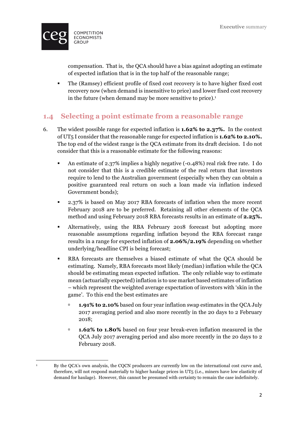

compensation. That is, the QCA should have a bias against adopting an estimate of expected inflation that is in the top half of the reasonable range;

§ The (Ramsey) efficient profile of fixed cost recovery is to have higher fixed cost recovery now (when demand is insensitive to price) and lower fixed cost recovery in the future (when demand may be more sensitive to price).<sup>1</sup>

### **1.4 Selecting a point estimate from a reasonable range**

- 6. The widest possible range for expected inflation is **1.62% to 2.37%.** In the context of UT5 I consider that the reasonable range for expected inflation is **1.62% to 2.10%.** The top end of the widest range is the QCA estimate from its draft decision. I do not consider that this is a reasonable estimate for the following reasons:
	- § An estimate of 2.37% implies a highly negative (-0.48%) real risk free rate. I do not consider that this is a credible estimate of the real return that investors require to lend to the Australian government (especially when they can obtain a positive guaranteed real return on such a loan made via inflation indexed Government bonds);
	- § 2.37% is based on May 2017 RBA forecasts of inflation when the more recent February 2018 are to be preferred. Retaining all other elements of the QCA method and using February 2018 RBA forecasts results in an estimate of **2.25%.**
	- § Alternatively, using the RBA February 2018 forecast but adopting more reasonable assumptions regarding inflation beyond the RBA forecast range results in a range for expected inflation of **2.06%/2.19%** depending on whether underlying/headline CPI is being forecast;
	- RBA forecasts are themselves a biased estimate of what the QCA should be estimating. Namely, RBA forecasts most likely (median) inflation while the QCA should be estimating mean expected inflation. The only reliable way to estimate mean (actuarially expected) inflation is to use market based estimates of inflation – which represent the weighted average expectation of investors with 'skin in the game'. To this end the best estimates are
		- **1.91% to 2.10%** based on four year inflation swap estimates in the QCA July 2017 averaging period and also more recently in the 20 days to 2 February 2018;
		- **1.62% to 1.80%** based on four year break-even inflation measured in the QCA July 2017 averaging period and also more recently in the 20 days to 2 February 2018.

<sup>&</sup>lt;u> 1989 - Johann Barn, mars ann an t-Amhain an t-Amhain an t-Amhain an t-Amhain an t-Amhain an t-Amhain an t-Amh</u> <sup>1</sup> By the QCA's own analysis, the CQCN producers are currently low on the international cost curve and, therefore, will not respond materially to higher haulage prices in UT5 (i.e., miners have low elasticity of demand for haulage). However, this cannot be presumed with certainty to remain the case indefinitely.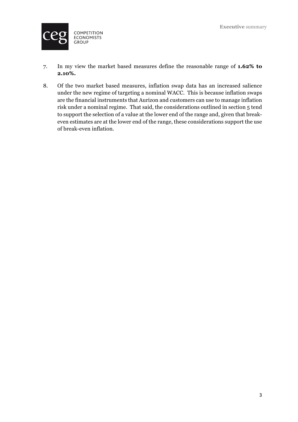

- 7. In my view the market based measures define the reasonable range of **1.62% to 2.10%.**
- 8. Of the two market based measures, inflation swap data has an increased salience under the new regime of targeting a nominal WACC. This is because inflation swaps are the financial instruments that Aurizon and customers can use to manage inflation risk under a nominal regime. That said, the considerations outlined in section 5 tend to support the selection of a value at the lower end of the range and, given that breakeven estimates are at the lower end of the range, these considerations support the use of break-even inflation.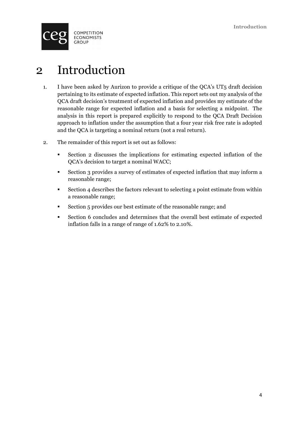

# 2 Introduction

- 1. I have been asked by Aurizon to provide a critique of the QCA's UT5 draft decision pertaining to its estimate of expected inflation. This report sets out my analysis of the QCA draft decision's treatment of expected inflation and provides my estimate of the reasonable range for expected inflation and a basis for selecting a midpoint. The analysis in this report is prepared explicitly to respond to the QCA Draft Decision approach to inflation under the assumption that a four year risk free rate is adopted and the QCA is targeting a nominal return (not a real return).
- 2. The remainder of this report is set out as follows:
	- § Section 2 discusses the implications for estimating expected inflation of the QCA's decision to target a nominal WACC;
	- Section 3 provides a survey of estimates of expected inflation that may inform a reasonable range;
	- § Section 4 describes the factors relevant to selecting a point estimate from within a reasonable range;
	- Section 5 provides our best estimate of the reasonable range; and
	- Section 6 concludes and determines that the overall best estimate of expected inflation falls in a range of range of 1.62% to 2.10%.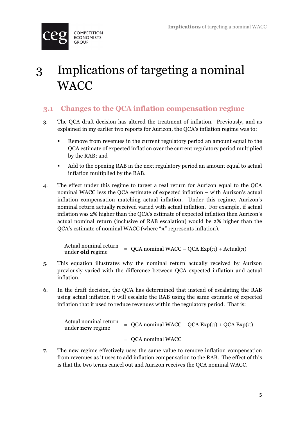

# 3 Implications of targeting a nominal **WACC**

# **3.1 Changes to the QCA inflation compensation regime**

- 3. The QCA draft decision has altered the treatment of inflation. Previously, and as explained in my earlier two reports for Aurizon, the QCA's inflation regime was to:
	- Remove from revenues in the current regulatory period an amount equal to the QCA estimate of expected inflation over the current regulatory period multiplied by the RAB; and
	- Add to the opening RAB in the next regulatory period an amount equal to actual inflation multiplied by the RAB.
- 4. The effect under this regime to target a real return for Aurizon equal to the QCA nominal WACC less the QCA estimate of expected inflation – with Aurizon's actual inflation compensation matching actual inflation. Under this regime, Aurizon's nominal return actually received varied with actual inflation. For example, if actual inflation was 2% higher than the QCA's estimate of expected inflation then Aurizon's actual nominal return (inclusive of RAB escalation) would be 2% higher than the QCA's estimate of nominal WACC (where "π" represents inflation).

Actual nominal return Actual hominal return<br>under **old** regime = QCA nominal WACC – QCA  $Exp(π)$  + Actual(π)

- 5. This equation illustrates why the nominal return actually received by Aurizon previously varied with the difference between QCA expected inflation and actual inflation.
- 6. In the draft decision, the QCA has determined that instead of escalating the RAB using actual inflation it will escalate the RAB using the same estimate of expected inflation that it used to reduce revenues within the regulatory period. That is:

Actual nominal return under **new** regime  $QCA$  nominal WACC – QCA Exp(π) + QCA Exp(π) = QCA nominal WACC

7. The new regime effectively uses the same value to remove inflation compensation from revenues as it uses to add inflation compensation to the RAB. The effect of this is that the two terms cancel out and Aurizon receives the QCA nominal WACC.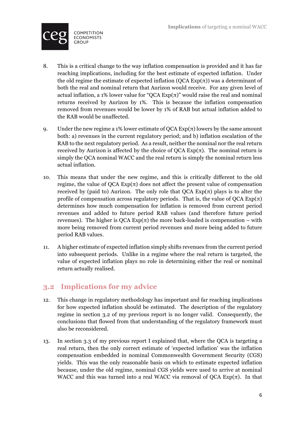

- 8. This is a critical change to the way inflation compensation is provided and it has far reaching implications, including for the best estimate of expected inflation. Under the old regime the estimate of expected inflation  $(QCA \, Exp(\pi))$  was a determinant of both the real and nominal return that Aurizon would receive. For any given level of actual inflation, a 1% lower value for "QCA  $Exp(\pi)$ " would raise the real and nominal returns received by Aurizon by 1%. This is because the inflation compensation removed from revenues would be lower by 1% of RAB but actual inflation added to the RAB would be unaffected.
- 9. Under the new regime a 1% lower estimate of  $QCA \tExp(\pi)$  lowers by the same amount both: a) revenues in the current regulatory period; and b) inflation escalation of the RAB to the next regulatory period. As a result, neither the nominal nor the real return received by Aurizon is affected by the choice of  $QCA$   $Exp(\pi)$ . The nominal return is simply the QCA nominal WACC and the real return is simply the nominal return less actual inflation.
- 10. This means that under the new regime, and this is critically different to the old regime, the value of  $QCA \, Exp(\pi)$  does not affect the present value of compensation received by (paid to) Aurizon. The only role that  $QCA Exp(\pi)$  plays is to alter the profile of compensation across regulatory periods. That is, the value of QCA  $Exp(\pi)$ determines how much compensation for inflation is removed from current period revenues and added to future period RAB values (and therefore future period revenues). The higher is QCA  $Exp(π)$  the more back-loaded is compensation – with more being removed from current period revenues and more being added to future period RAB values.
- 11. A higher estimate of expected inflation simply shifts revenues from the current period into subsequent periods. Unlike in a regime where the real return is targeted, the value of expected inflation plays no role in determining either the real or nominal return actually realised.

# **3.2 Implications for my advice**

- 12. This change in regulatory methodology has important and far reaching implications for how expected inflation should be estimated. The description of the regulatory regime in section 3.2 of my previous report is no longer valid. Consequently, the conclusions that flowed from that understanding of the regulatory framework must also be reconsidered.
- 13. In section 3.3 of my previous report I explained that, where the QCA is targeting a real return, then the only correct estimate of 'expected inflation' was the inflation compensation embedded in nominal Commonwealth Government Security (CGS) yields. This was the only reasonable basis on which to estimate expected inflation because, under the old regime, nominal CGS yields were used to arrive at nominal WACC and this was turned into a real WACC via removal of QCA  $Exp(\pi)$ . In that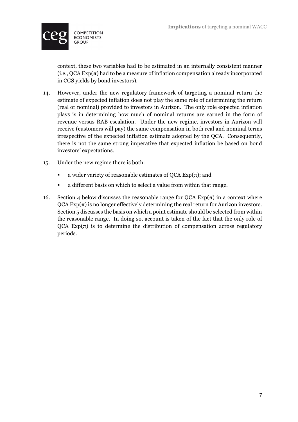

context, these two variables had to be estimated in an internally consistent manner  $(i.e., QCA Exp(\pi)$  had to be a measure of inflation compensation already incorporated in CGS yields by bond investors).

- 14. However, under the new regulatory framework of targeting a nominal return the estimate of expected inflation does not play the same role of determining the return (real or nominal) provided to investors in Aurizon. The only role expected inflation plays is in determining how much of nominal returns are earned in the form of revenue versus RAB escalation. Under the new regime, investors in Aurizon will receive (customers will pay) the same compensation in both real and nominal terms irrespective of the expected inflation estimate adopted by the QCA. Consequently, there is not the same strong imperative that expected inflation be based on bond investors' expectations.
- 15. Under the new regime there is both:
	- **a** wider variety of reasonable estimates of QCA  $Exp(\pi)$ ; and
	- a different basis on which to select a value from within that range.
- 16. Section 4 below discusses the reasonable range for QCA  $Exp(\pi)$  in a context where  $QCA \text{Exp}(\pi)$  is no longer effectively determining the real return for Aurizon investors. Section 5 discusses the basis on which a point estimate should be selected from within the reasonable range. In doing so, account is taken of the fact that the only role of  $QCA$   $Exp(\pi)$  is to determine the distribution of compensation across regulatory periods.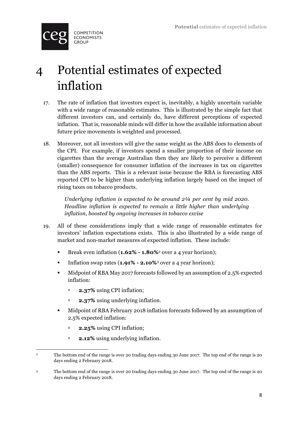

# 4 Potential estimates of expected inflation

- 17. The rate of inflation that investors expect is, inevitably, a highly uncertain variable with a wide range of reasonable estimates. This is illustrated by the simple fact that different investors can, and certainly do, have different perceptions of expected inflation. That is, reasonable minds will differ in how the available information about future price movements is weighted and processed.
- 18. Moreover, not all investors will give the same weight as the ABS does to elements of the CPI. For example, if investors spend a smaller proportion of their income on cigarettes than the average Australian then they are likely to perceive a different (smaller) consequence for consumer inflation of the increases in tax on cigarettes than the ABS reports. This is a relevant issue because the RBA is forecasting ABS reported CPI to be higher than underlying inflation largely based on the impact of rising taxes on tobacco products.

*Underlying inflation is expected to be around 2¼ per cent by mid 2020. Headline inflation is expected to remain a little higher than underlying inflation, boosted by ongoing increases in tobacco excise*

- 19. All of these considerations imply that a wide range of reasonable estimates for investors' inflation expectations exists. This is also illustrated by a wide range of market and non-market measures of expected inflation. These include:
	- Break even inflation (**1.62% 1.80%** over a 4 year horizon);
	- § Inflation swap rates (**1.91% - 2.10%**<sup>3</sup> over a 4 year horizon);
	- § Midpoint of RBA May 2017 forecasts followed by an assumption of 2.5% expected inflation:
		- **2.37%** using CPI inflation;
		- **2.37%** using underlying inflation.
	- § Midpoint of RBA February 2018 inflation forecasts followed by an assumption of 2.5% expected inflation:
		- **2.25%** using CPI inflation;

<u> 1989 - Johann Barn, mars ann an t-Amhain an t-Amhain an t-Amhain an t-Amhain an t-Amhain an t-Amhain an t-Amh</u>

**2.12%** using underlying inflation.

<sup>&</sup>lt;sup>2</sup> The bottom end of the range is over 20 trading days ending 30 June 2017. The top end of the range is 20 days ending 2 February 2018.

<sup>3</sup> The bottom end of the range is over 20 trading days ending 30 June 2017. The top end of the range is 20 days ending 2 February 2018.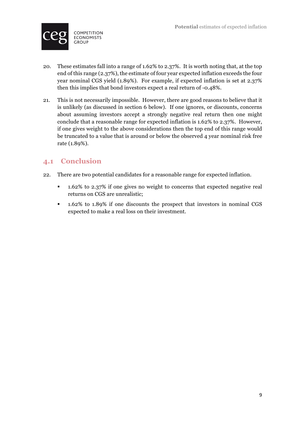

- 20. These estimates fall into a range of 1.62% to 2.37%. It is worth noting that, at the top end of this range (2.37%), the estimate of four year expected inflation exceeds the four year nominal CGS yield (1.89%). For example, if expected inflation is set at 2.37% then this implies that bond investors expect a real return of -0.48%.
- 21. This is not necessarily impossible. However, there are good reasons to believe that it is unlikely (as discussed in section 6 below). If one ignores, or discounts, concerns about assuming investors accept a strongly negative real return then one might conclude that a reasonable range for expected inflation is 1.62% to 2.37%. However, if one gives weight to the above considerations then the top end of this range would be truncated to a value that is around or below the observed 4 year nominal risk free rate (1.89%).

### **4.1 Conclusion**

- 22. There are two potential candidates for a reasonable range for expected inflation.
	- § 1.62% to 2.37% if one gives no weight to concerns that expected negative real returns on CGS are unrealistic;
	- § 1.62% to 1.89% if one discounts the prospect that investors in nominal CGS expected to make a real loss on their investment.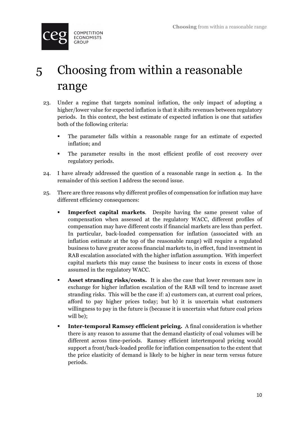

# 5 Choosing from within a reasonable range

- 23. Under a regime that targets nominal inflation, the only impact of adopting a higher/lower value for expected inflation is that it shifts revenues between regulatory periods. In this context, the best estimate of expected inflation is one that satisfies both of the following criteria:
	- § The parameter falls within a reasonable range for an estimate of expected inflation; and
	- § The parameter results in the most efficient profile of cost recovery over regulatory periods.
- 24. I have already addressed the question of a reasonable range in section 4. In the remainder of this section I address the second issue.
- 25. There are three reasons why different profiles of compensation for inflation may have different efficiency consequences:
	- § **Imperfect capital markets**. Despite having the same present value of compensation when assessed at the regulatory WACC, different profiles of compensation may have different costs if financial markets are less than perfect. In particular, back-loaded compensation for inflation (associated with an inflation estimate at the top of the reasonable range) will require a regulated business to have greater access financial markets to, in effect, fund investment in RAB escalation associated with the higher inflation assumption. With imperfect capital markets this may cause the business to incur costs in excess of those assumed in the regulatory WACC.
	- **Asset stranding risks/costs.** It is also the case that lower revenues now in exchange for higher inflation escalation of the RAB will tend to increase asset stranding risks. This will be the case if: a) customers can, at current coal prices, afford to pay higher prices today; but b) it is uncertain what customers willingness to pay in the future is (because it is uncertain what future coal prices will be);
	- **Inter-temporal Ramsey efficient pricing.** A final consideration is whether there is any reason to assume that the demand elasticity of coal volumes will be different across time-periods. Ramsey efficient intertemporal pricing would support a front/back-loaded profile for inflation compensation to the extent that the price elasticity of demand is likely to be higher in near term versus future periods.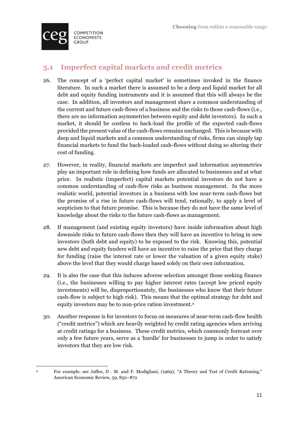

# **5.1 Imperfect capital markets and credit metrics**

- 26. The concept of a 'perfect capital market' is sometimes invoked in the finance literature. In such a market there is assumed to be a deep and liquid market for all debt and equity funding instruments and it is assumed that this will always be the case. In addition, all investors and management share a common understanding of the current and future cash-flows of a business and the risks to those cash-flows (i.e., there are no information asymmetries between equity and debt investors). In such a market, it should be costless to back-load the profile of the expected cash-flows provided the present value of the cash-flows remains unchanged. This is because with deep and liquid markets and a common understanding of risks, firms can simply tap financial markets to fund the back-loaded cash-flows without doing so altering their cost of funding.
- 27. However, in reality, financial markets are imperfect and information asymmetries play an important role in defining how funds are allocated to businesses and at what price. In realistic (imperfect) capital markets potential investors do not have a common understanding of cash-flow risks as business management. In the more realistic world, potential investors in a business with low near-term cash-flows but the promise of a rise in future cash-flows will tend, rationally, to apply a level of scepticism to that future promise. This is because they do not have the same level of knowledge about the risks to the future cash-flows as management.
- 28. If management (and existing equity investors) have inside information about high downside risks to future cash-flows then they will have an incentive to bring in new investors (both debt and equity) to be exposed to the risk. Knowing this, potential new debt and equity funders will have an incentive to raise the price that they charge for funding (raise the interest rate or lower the valuation of a given equity stake) above the level that they would charge based solely on their own information.
- 29. It is also the case that this induces adverse selection amongst those seeking finance (i.e., the businesses willing to pay higher interest rates (accept low priced equity investments) will be, disproportionately, the businesses who know that their future cash-flow is subject to high risk). This means that the optimal strategy for debt and equity investors may be to non-price ration investment.4
- 30. Another response is for investors to focus on measures of near-term cash-flow health ("credit metrics") which are heavily weighted by credit rating agencies when arriving at credit ratings for a business. These credit metrics, which commonly forecast over only a few future years, serve as a 'hurdle' for businesses to jump in order to satisfy investors that they are low risk.

<sup>&</sup>lt;u> 1989 - Johann Barn, mars ann an t-Amhain an t-Amhain an t-Amhain an t-Amhain an t-Amhain an t-Amhain an t-Amh</u> <sup>4</sup> For example, see Jaffee, D . M. and F. Modigliani, (1969), "A Theory and Test of Credit Rationing," American Economic Review, 59, 850–872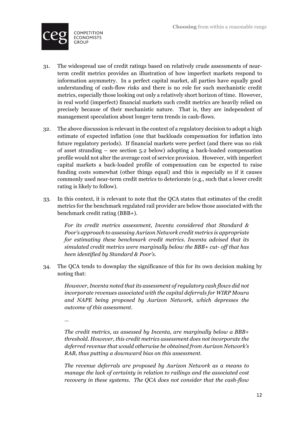

- 31. The widespread use of credit ratings based on relatively crude assessments of nearterm credit metrics provides an illustration of how imperfect markets respond to information asymmetry. In a perfect capital market, all parties have equally good understanding of cash-flow risks and there is no role for such mechanistic credit metrics, especially those looking out only a relatively short horizon of time. However, in real world (imperfect) financial markets such credit metrics are heavily relied on precisely because of their mechanistic nature. That is, they are independent of management speculation about longer term trends in cash-flows.
- 32. The above discussion is relevant in the context of a regulatory decision to adopt a high estimate of expected inflation (one that backloads compensation for inflation into future regulatory periods). If financial markets were perfect (and there was no risk of asset stranding – see section 5.2 below) adopting a back-loaded compensation profile would not alter the average cost of service provision. However, with imperfect capital markets a back-loaded profile of compensation can be expected to raise funding costs somewhat (other things equal) and this is especially so if it causes commonly used near-term credit metrics to deteriorate (e.g., such that a lower credit rating is likely to follow).
- 33. In this context, it is relevant to note that the QCA states that estimates of the credit metrics for the benchmark regulated rail provider are below those associated with the benchmark credit rating (BBB+).

*For its credit metrics assessment, Incenta considered that Standard & Poor's approach to assessing Aurizon Network credit metrics is appropriate for estimating these benchmark credit metrics. Incenta advised that its simulated credit metrics were marginally below the BBB+ cut- off that has been identified by Standard & Poor's.* 

34. The QCA tends to downplay the significance of this for its own decision making by noting that:

*However, Incenta noted that its assessment of regulatory cash flows did not incorporate revenues associated with the capital deferrals for WIRP Moura and NAPE being proposed by Aurizon Network, which depresses the outcome of this assessment.*

…

*The credit metrics, as assessed by Incenta, are marginally below a BBB+ threshold. However, this credit metrics assessment does not incorporate the deferred revenue that would otherwise be obtained from Aurizon Network's RAB, thus putting a downward bias on this assessment.* 

*The revenue deferrals are proposed by Aurizon Network as a means to manage the lack of certainty in relation to railings and the associated cost recovery in these systems. The QCA does not consider that the cash-flow*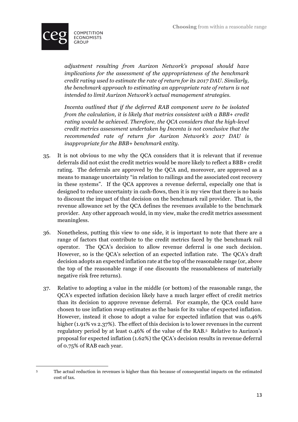

*adjustment resulting from Aurizon Network's proposal should have implications for the assessment of the appropriateness of the benchmark credit rating used to estimate the rate of return for its 2017 DAU. Similarly, the benchmark approach to estimating an appropriate rate of return is not intended to limit Aurizon Network's actual management strategies.* 

*Incenta outlined that if the deferred RAB component were to be isolated from the calculation, it is likely that metrics consistent with a BBB+ credit rating would be achieved. Therefore, the QCA considers that the high-level credit metrics assessment undertaken by Incenta is not conclusive that the recommended rate of return for Aurizon Network's 2017 DAU is inappropriate for the BBB+ benchmark entity.*

- 35. It is not obvious to me why the QCA considers that it is relevant that if revenue deferrals did not exist the credit metrics would be more likely to reflect a BBB+ credit rating. The deferrals are approved by the QCA and, moreover, are approved as a means to manage uncertainty "in relation to railings and the associated cost recovery in these systems". If the QCA approves a revenue deferral, especially one that is designed to reduce uncertainty in cash-flows, then it is my view that there is no basis to discount the impact of that decision on the benchmark rail provider. That is, the revenue allowance set by the QCA defines the revenues available to the benchmark provider. Any other approach would, in my view, make the credit metrics assessment meaningless.
- 36. Nonetheless, putting this view to one side, it is important to note that there are a range of factors that contribute to the credit metrics faced by the benchmark rail operator. The QCA's decision to allow revenue deferral is one such decision. However, so is the QCA's selection of an expected inflation rate. The QCA's draft decision adopts an expected inflation rate at the top of the reasonable range (or, above the top of the reasonable range if one discounts the reasonableness of materially negative risk free returns).
- 37. Relative to adopting a value in the middle (or bottom) of the reasonable range, the QCA's expected inflation decision likely have a much larger effect of credit metrics than its decision to approve revenue deferral. For example, the QCA could have chosen to use inflation swap estimates as the basis for its value of expected inflation. However, instead it chose to adopt a value for expected inflation that was 0.46% higher (1.91% vs 2.37%). The effect of this decision is to lower revenues in the current regulatory period by at least 0.46% of the value of the RAB.5 Relative to Aurizon's proposal for expected inflation (1.62%) the QCA's decision results in revenue deferral of 0.75% of RAB each year.

<sup>&</sup>lt;u> 1989 - Johann Barn, mars ann an t-Amhain an t-Amhain an t-Amhain an t-Amhain an t-Amhain an t-Amhain an t-Amh</u> <sup>5</sup> The actual reduction in revenues is higher than this because of consequential impacts on the estimated cost of tax.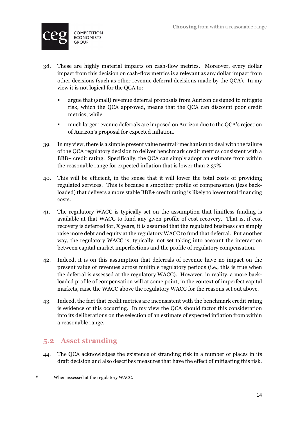

- 38. These are highly material impacts on cash-flow metrics. Moreover, every dollar impact from this decision on cash-flow metrics is a relevant as any dollar impact from other decisions (such as other revenue deferral decisions made by the QCA). In my view it is not logical for the QCA to:
	- § argue that (small) revenue deferral proposals from Aurizon designed to mitigate risk, which the QCA approved, means that the QCA can discount poor credit metrics; while
	- **much larger revenue deferrals are imposed on Aurizon due to the QCA's rejection** of Aurizon's proposal for expected inflation.
- 39. In my view, there is a simple present value neutral6 mechanism to deal with the failure of the QCA regulatory decision to deliver benchmark credit metrics consistent with a BBB+ credit rating. Specifically, the QCA can simply adopt an estimate from within the reasonable range for expected inflation that is lower than 2.37%.
- 40. This will be efficient, in the sense that it will lower the total costs of providing regulated services. This is because a smoother profile of compensation (less backloaded) that delivers a more stable BBB+ credit rating is likely to lower total financing costs.
- 41. The regulatory WACC is typically set on the assumption that limitless funding is available at that WACC to fund any given profile of cost recovery. That is, if cost recovery is deferred for, X years, it is assumed that the regulated business can simply raise more debt and equity at the regulatory WACC to fund that deferral. Put another way, the regulatory WACC is, typically, not set taking into account the interaction between capital market imperfections and the profile of regulatory compensation.
- 42. Indeed, it is on this assumption that deferrals of revenue have no impact on the present value of revenues across multiple regulatory periods (i.e., this is true when the deferral is assessed at the regulatory WACC). However, in reality, a more backloaded profile of compensation will at some point, in the context of imperfect capital markets, raise the WACC above the regulatory WACC for the reasons set out above.
- 43. Indeed, the fact that credit metrics are inconsistent with the benchmark credit rating is evidence of this occurring. In my view the QCA should factor this consideration into its deliberations on the selection of an estimate of expected inflation from within a reasonable range.

### **5.2 Asset stranding**

44. The QCA acknowledges the existence of stranding risk in a number of places in its draft decision and also describes measures that have the effect of mitigating this risk.

<sup>&</sup>lt;u> 1989 - Johann Barn, mars ann an t-Amhain an t-Amhain an t-Amhain an t-Amhain an t-Amhain an t-Amhain an t-Amh</u> <sup>6</sup> When assessed at the regulatory WACC.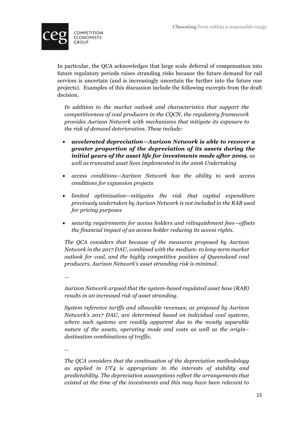

In particular, the QCA acknowledges that large scale deferral of compensation into future regulatory periods raises stranding risks because the future demand for rail services is uncertain (and is increasingly uncertain the further into the future one projects). Examples of this discussion include the following excerpts from the draft decision.

*In addition to the market outlook and characteristics that support the competitiveness of coal producers in the CQCN, the regulatory framework provides Aurizon Network with mechanisms that mitigate its exposure to the risk of demand deterioration. These include:*

- *accelerated depreciation—Aurizon Network is able to recover a greater proportion of the depreciation of its assets during the initial years of the asset life for investments made after 2009, as well as truncated asset lives implemented in the 2006 Undertaking*
- *access conditions—Aurizon Network has the ability to seek access conditions for expansion projects*
- *limited optimisation—mitigates the risk that capital expenditure previously undertaken by Aurizon Network is not included in the RAB used for pricing purposes*
- *security requirements for access holders and relinquishment fees—offsets the financial impact of an access holder reducing its access rights.*

*The QCA considers that because of the measures proposed by Aurizon Network in the 2017 DAU, combined with the medium- to long-term market outlook for coal, and the highly competitive position of Queensland coal producers, Aurizon Network's asset stranding risk is minimal.*

*…* 

*Aurizon Network argued that the system-based regulated asset base (RAB) results in an increased risk of asset stranding.*

*System reference tariffs and allowable revenues, as proposed by Aurizon Network's 2017 DAU, are determined based on individual coal systems, where such systems are readily apparent due to the mostly separable nature of the assets, operating mode and costs as well as the origin– destination combinations of traffic.*

*…* 

*The QCA considers that the continuation of the depreciation methodology as applied in UT4 is appropriate in the interests of stability and predictability. The depreciation assumptions reflect the arrangements that existed at the time of the investments and this may have been relevant to*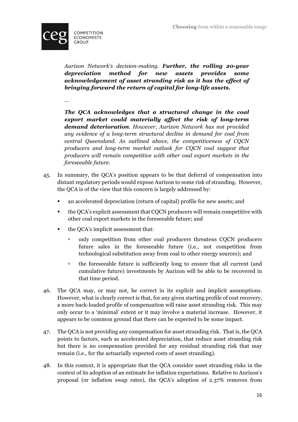

*Aurizon Network's decision-making. Further, the rolling 20-year depreciation method for new assets provides some acknowledgement of asset stranding risk as it has the effect of bringing forward the return of capital for long-life assets.* 

*…*

*The QCA acknowledges that a structural change in the coal export market could materially affect the risk of long-term demand deterioration. However, Aurizon Network has not provided any evidence of a long-term structural decline in demand for coal from central Queensland. As outlined above, the competitiveness of CQCN producers and long-term market outlook for CQCN coal suggest that producers will remain competitive with other coal export markets in the foreseeable future.* 

- 45. In summary, the QCA's position appears to be that deferral of compensation into distant regulatory periods would expose Aurizon to some risk of stranding. However, the QCA is of the view that this concern is largely addressed by:
	- an accelerated depreciation (return of capital) profile for new assets; and
	- § the QCA's explicit assessment that CQCN producers will remain competitive with other coal export markets in the foreseeable future; and
	- the OCA's implicit assessment that:
		- <sup>o</sup> only competition from other coal producers threatens CQCN producers future sales in the foreseeable future (i.e., not competition from technological substitution away from coal to other energy sources); and
		- $\overline{a}$  the foreseeable future is sufficiently long to ensure that all current (and cumulative future) investments by Aurizon will be able to be recovered in that time period.
- 46. The QCA may, or may not, be correct in its explicit and implicit assumptions. However, what is clearly correct is that, for any given starting profile of cost recovery, a more back-loaded profile of compensation will raise asset stranding risk. This may only occur to a 'minimal' extent or it may involve a material increase. However, it appears to be common ground that there can be expected to be some impact.
- 47. The QCA is not providing any compensation for asset stranding risk. That is, the QCA points to factors, such as accelerated depreciation, that reduce asset stranding risk but there is no compensation provided for any residual stranding risk that may remain (i.e., for the actuarially expected costs of asset stranding).
- 48. In this context, it is appropriate that the QCA consider asset stranding risks in the context of its adoption of an estimate for inflation expectations. Relative to Aurizon's proposal (or inflation swap rates), the QCA's adoption of 2.37% removes from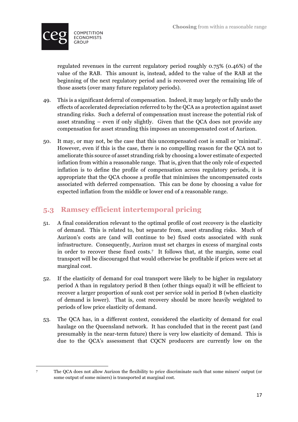

regulated revenues in the current regulatory period roughly 0.75% (0.46%) of the value of the RAB. This amount is, instead, added to the value of the RAB at the beginning of the next regulatory period and is recovered over the remaining life of those assets (over many future regulatory periods).

- 49. This is a significant deferral of compensation. Indeed, it may largely or fully undo the effects of accelerated depreciation referred to by the QCA as a protection against asset stranding risks. Such a deferral of compensation must increase the potential risk of asset stranding – even if only slightly. Given that the QCA does not provide any compensation for asset stranding this imposes an uncompensated cost of Aurizon.
- 50. It may, or may not, be the case that this uncompensated cost is small or 'minimal'. However, even if this is the case, there is no compelling reason for the QCA not to ameliorate this source of asset stranding risk by choosing a lower estimate of expected inflation from within a reasonable range. That is, given that the only role of expected inflation is to define the profile of compensation across regulatory periods, it is appropriate that the QCA choose a profile that minimises the uncompensated costs associated with deferred compensation. This can be done by choosing a value for expected inflation from the middle or lower end of a reasonable range.

## **5.3 Ramsey efficient intertemporal pricing**

- 51. A final consideration relevant to the optimal profile of cost recovery is the elasticity of demand. This is related to, but separate from, asset stranding risks. Much of Aurizon's costs are (and will continue to be) fixed costs associated with sunk infrastructure. Consequently, Aurizon must set charges in excess of marginal costs in order to recover these fixed costs.7 It follows that, at the margin, some coal transport will be discouraged that would otherwise be profitable if prices were set at marginal cost.
- 52. If the elasticity of demand for coal transport were likely to be higher in regulatory period A than in regulatory period B then (other things equal) it will be efficient to recover a larger proportion of sunk cost per service sold in period B (when elasticity of demand is lower). That is, cost recovery should be more heavily weighted to periods of low price elasticity of demand.
- 53. The QCA has, in a different context, considered the elasticity of demand for coal haulage on the Queensland network. It has concluded that in the recent past (and presumably in the near-term future) there is very low elasticity of demand. This is due to the QCA's assessment that CQCN producers are currently low on the

<sup>&</sup>lt;u> 1989 - Johann Barn, mars ann an t-Amhain Aonaich ann an t-Aonaich ann an t-Aonaich ann an t-Aonaich ann an t-</u>

<sup>7</sup> The QCA does not allow Aurizon the flexibility to price discriminate such that some miners' output (or some output of some miners) is transported at marginal cost.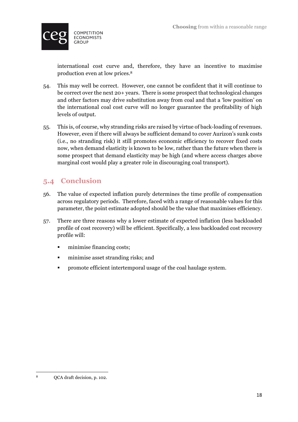

international cost curve and, therefore, they have an incentive to maximise production even at low prices.8

- 54. This may well be correct. However, one cannot be confident that it will continue to be correct over the next 20+ years. There is some prospect that technological changes and other factors may drive substitution away from coal and that a 'low position' on the international coal cost curve will no longer guarantee the profitability of high levels of output.
- 55. This is, of course, why stranding risks are raised by virtue of back-loading of revenues. However, even if there will always be sufficient demand to cover Aurizon's sunk costs (i.e., no stranding risk) it still promotes economic efficiency to recover fixed costs now, when demand elasticity is known to be low, rather than the future when there is some prospect that demand elasticity may be high (and where access charges above marginal cost would play a greater role in discouraging coal transport).

# **5.4 Conclusion**

- 56. The value of expected inflation purely determines the time profile of compensation across regulatory periods. Therefore, faced with a range of reasonable values for this parameter, the point estimate adopted should be the value that maximises efficiency.
- 57. There are three reasons why a lower estimate of expected inflation (less backloaded profile of cost recovery) will be efficient. Specifically, a less backloaded cost recovery profile will:
	- minimise financing costs;
	- **•** minimise asset stranding risks; and
	- § promote efficient intertemporal usage of the coal haulage system.

<sup>&</sup>lt;u> 1989 - Johann Barn, mars ann an t-Amhain Aonaich ann an t-Aonaich ann an t-Aonaich ann an t-Aonaich ann an t-</u> <sup>8</sup> QCA draft decision, p. 102.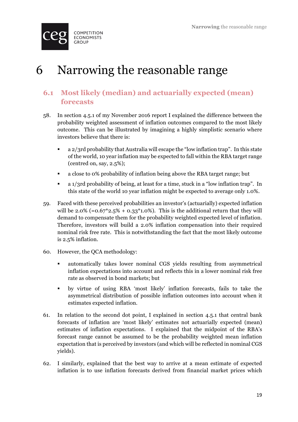

# 6 Narrowing the reasonable range

# **6.1 Most likely (median) and actuarially expected (mean) forecasts**

- 58. In section 4.5.1 of my November 2016 report I explained the difference between the probability weighted assessment of inflation outcomes compared to the most likely outcome. This can be illustrated by imagining a highly simplistic scenario where investors believe that there is:
	- § a 2/3rd probability that Australia will escape the "low inflation trap". In this state of the world, 10 year inflation may be expected to fall within the RBA target range (centred on, say, 2.5%);
	- a close to 0% probability of inflation being above the RBA target range; but
	- a 1/3rd probability of being, at least for a time, stuck in a "low inflation trap". In this state of the world 10 year inflation might be expected to average only 1.0%.
- 59. Faced with these perceived probabilities an investor's (actuarially) expected inflation will be  $2.0\%$  (= $0.67^*2.5\%$  + 0.33<sup>\*</sup>1.0%). This is the additional return that they will demand to compensate them for the probability weighted expected level of inflation. Therefore, investors will build a 2.0% inflation compensation into their required nominal risk free rate. This is notwithstanding the fact that the most likely outcome is 2.5% inflation.
- 60. However, the QCA methodology:
	- automatically takes lower nominal CGS yields resulting from asymmetrical inflation expectations into account and reflects this in a lower nominal risk free rate as observed in bond markets; but
	- § by virtue of using RBA 'most likely' inflation forecasts, fails to take the asymmetrical distribution of possible inflation outcomes into account when it estimates expected inflation.
- 61. In relation to the second dot point, I explained in section 4.5.1 that central bank forecasts of inflation are 'most likely' estimates not actuarially expected (mean) estimates of inflation expectations. I explained that the midpoint of the RBA's forecast range cannot be assumed to be the probability weighted mean inflation expectation that is perceived by investors (and which will be reflected in nominal CGS yields).
- 62. I similarly, explained that the best way to arrive at a mean estimate of expected inflation is to use inflation forecasts derived from financial market prices which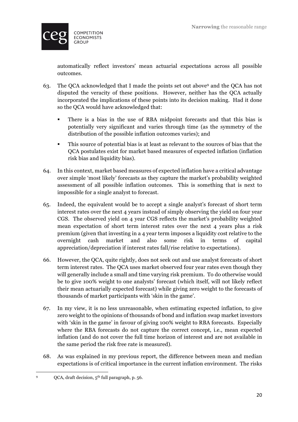

automatically reflect investors' mean actuarial expectations across all possible outcomes.

- 63. The QCA acknowledged that I made the points set out above9 and the QCA has not disputed the veracity of these positions. However, neither has the QCA actually incorporated the implications of these points into its decision making. Had it done so the QCA would have acknowledged that:
	- § There is a bias in the use of RBA midpoint forecasts and that this bias is potentially very significant and varies through time (as the symmetry of the distribution of the possible inflation outcomes varies); and
	- § This source of potential bias is at least as relevant to the sources of bias that the QCA postulates exist for market based measures of expected inflation (inflation risk bias and liquidity bias).
- 64. In this context, market based measures of expected inflation have a critical advantage over simple 'most likely' forecasts as they capture the market's probability weighted assessment of all possible inflation outcomes. This is something that is next to impossible for a single analyst to forecast.
- 65. Indeed, the equivalent would be to accept a single analyst's forecast of short term interest rates over the next 4 years instead of simply observing the yield on four year CGS. The observed yield on 4 year CGS reflects the market's probability weighted mean expectation of short term interest rates over the next 4 years plus a risk premium (given that investing in a 4 year term imposes a liquidity cost relative to the overnight cash market and also some risk in terms of capital appreciation/depreciation if interest rates fall/rise relative to expectations).
- 66. However, the QCA, quite rightly, does not seek out and use analyst forecasts of short term interest rates. The QCA uses market observed four year rates even though they will generally include a small and time varying risk premium. To do otherwise would be to give 100% weight to one analysts' forecast (which itself, will not likely reflect their mean actuarially expected forecast) while giving zero weight to the forecasts of thousands of market participants with 'skin in the game'.
- 67. In my view, it is no less unreasonable, when estimating expected inflation, to give zero weight to the opinions of thousands of bond and inflation swap market investors with 'skin in the game' in favour of giving 100% weight to RBA forecasts. Especially where the RBA forecasts do not capture the correct concept, i.e., mean expected inflation (and do not cover the full time horizon of interest and are not available in the same period the risk free rate is measured).
- 68. As was explained in my previous report, the difference between mean and median expectations is of critical importance in the current inflation environment. The risks

<sup>&</sup>lt;u> 1989 - Johann Barn, mars ann an t-Amhain Aonaich ann an t-Aonaich ann an t-Aonaich ann an t-Aonaich ann an t-</u> <sup>9</sup> QCA, draft decision, 5th full paragraph, p. 56.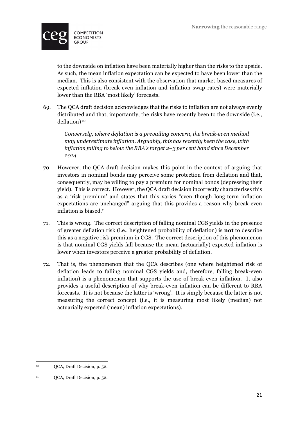

to the downside on inflation have been materially higher than the risks to the upside. As such, the mean inflation expectation can be expected to have been lower than the median. This is also consistent with the observation that market-based measures of expected inflation (break-even inflation and inflation swap rates) were materially lower than the RBA 'most likely' forecasts.

69. The QCA draft decision acknowledges that the risks to inflation are not always evenly distributed and that, importantly, the risks have recently been to the downside (i.e., deflation) 10

*Conversely, where deflation is a prevailing concern, the break-even method may underestimate inflation. Arguably, this has recently been the case, with inflation falling to below the RBA's target 2–3 per cent band since December 2014.*

- 70. However, the QCA draft decision makes this point in the context of arguing that investors in nominal bonds may perceive some protection from deflation and that, consequently, may be willing to pay a premium for nominal bonds (depressing their yield). This is correct. However, the QCA draft decision incorrectly characterises this as a 'risk premium' and states that this varies "even though long-term inflation expectations are unchanged" arguing that this provides a reason why break-even inflation is biased.<sup>11</sup>
- 71. This is wrong. The correct description of falling nominal CGS yields in the presence of greater deflation risk (i.e., heightened probability of deflation) is **not** to describe this as a negative risk premium in CGS. The correct description of this phenomenon is that nominal CGS yields fall because the mean (actuarially) expected inflation is lower when investors perceive a greater probability of deflation.
- 72. That is, the phenomenon that the QCA describes (one where heightened risk of deflation leads to falling nominal CGS yields and, therefore, falling break-even inflation) is a phenomenon that supports the use of break-even inflation. It also provides a useful description of why break-even inflation can be different to RBA forecasts. It is not because the latter is 'wrong'. It is simply because the latter is not measuring the correct concept (i.e., it is measuring most likely (median) not actuarially expected (mean) inflation expectations).

<sup>&</sup>lt;u> 1989 - Johann Barn, mars eta bainar eta industrial eta baina eta baina eta baina eta baina eta baina eta bain</u> <sup>10</sup> QCA, Draft Decision, p. 52.

<sup>11</sup> QCA, Draft Decision, p. 52.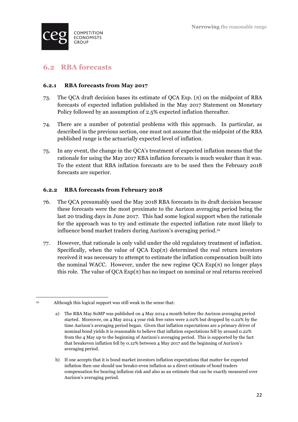

### **6.2 RBA forecasts**

#### **6.2.1 RBA forecasts from May 2017**

- 73. The QCA draft decision bases its estimate of QCA Exp. (π) on the midpoint of RBA forecasts of expected inflation published in the May 2017 Statement on Monetary Policy followed by an assumption of 2.5% expected inflation thereafter.
- 74. There are a number of potential problems with this approach. In particular, as described in the previous section, one must not assume that the midpoint of the RBA published range is the actuarially expected level of inflation.
- 75. In any event, the change in the QCA's treatment of expected inflation means that the rationale for using the May 2017 RBA inflation forecasts is much weaker than it was. To the extent that RBA inflation forecasts are to be used then the February 2018 forecasts are superior.

#### **6.2.2 RBA forecasts from February 2018**

- 76. The QCA presumably used the May 2018 RBA forecasts in its draft decision because these forecasts were the most proximate to the Aurizon averaging period being the last 20 trading days in June 2017. This had some logical support when the rationale for the approach was to try and estimate the expected inflation rate most likely to influence bond market traders during Aurizon's averaging period.12
- 77. However, that rationale is only valid under the old regulatory treatment of inflation. Specifically, when the value of QCA  $Exp(\pi)$  determined the real return investors received it was necessary to attempt to estimate the inflation compensation built into the nominal WACC. However, under the new regime  $QCA \, Exp(\pi)$  no longer plays this role. The value of  $QCA \tExp(\pi)$  has no impact on nominal or real returns received

<sup>&</sup>lt;u> 1989 - Johann Barn, mars ann an t-Amhain Aonaich ann an t-Aonaich ann an t-Aonaich ann an t-Aonaich ann an t-</u>  $12$  Although this logical support was still weak in the sense that:

a) The RBA May SoMP was published on 4 May 2014 a month before the Aurizon averaging period started. Moreover, on 4 May 2014 4 year risk free rates were 2.02% but dropped by 0.22% by the time Aurizon's averaging period began. Given that inflation expectations are a primary driver of nominal bond yields it is reasonable to believe that inflation expectations fell by around 0.22% from the 4 May up to the beginning of Aurizon's averaging period. This is supported by the fact that breakeven inflation fell by 0.12% between 4 May 2017 and the beginning of Aurizon's averaging period.

b) If one accepts that it is bond market investors inflation expectations that matter for expected inflation then one should use break0-even inflation as a direct estimate of bond traders compensation for bearing inflation risk and also as an estimate that can be exactly measured over Aurizon's averaging period.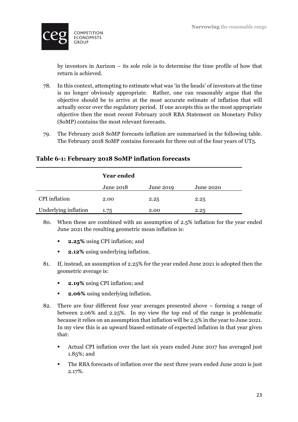

by investors in Aurizon – its sole role is to determine the time profile of how that return is achieved.

- 78. In this context, attempting to estimate what was 'in the heads' of investors at the time is no longer obviously appropriate. Rather, one can reasonably argue that the objective should be to arrive at the most accurate estimate of inflation that will actually occur over the regulatory period. If one accepts this as the most appropriate objective then the most recent February 2018 RBA Statement on Monetary Policy (SoMP) contains the most relevant forecasts.
- 79. The February 2018 SoMP forecasts inflation are summarised in the following table. The February 2018 SoMP contains forecasts for three out of the four years of UT5.

#### **Table 6-1: February 2018 SoMP inflation forecasts**

|                      | <b>Year ended</b> |           |           |
|----------------------|-------------------|-----------|-----------|
|                      | June 2018         | June 2019 | June 2020 |
| <b>CPI</b> inflation | 2.00              | 2.25      | 2.25      |
| Underlying inflation | 1.75              | 2.00      | 2.25      |

- 80. When these are combined with an assumption of 2.5% inflation for the year ended June 2021 the resulting geometric mean inflation is:
	- § **2.25%** using CPI inflation; and
	- § **2.12%** using underlying inflation.
- 81. If, instead, an assumption of 2.25% for the year ended June 2021 is adopted then the geometric average is:
	- § **2.19%** using CPI inflation; and
	- **2.06%** using underlying inflation.
- 82. There are four different four year averages presented above forming a range of between 2.06% and 2.25%. In my view the top end of the range is problematic because it relies on an assumption that inflation will be 2.5% in the year to June 2021. In my view this is an upward biased estimate of expected inflation in that year given that:
	- Actual CPI inflation over the last six years ended June 2017 has averaged just 1.85%; and
	- The RBA forecasts of inflation over the next three years ended June 2020 is just 2.17%.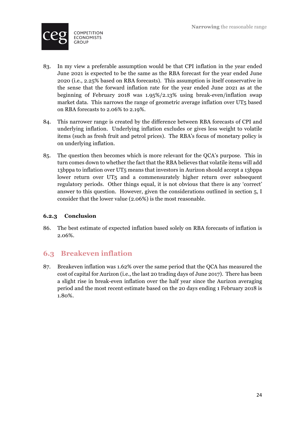

- 83. In my view a preferable assumption would be that CPI inflation in the year ended June 2021 is expected to be the same as the RBA forecast for the year ended June 2020 (i.e., 2.25% based on RBA forecasts). This assumption is itself conservative in the sense that the forward inflation rate for the year ended June 2021 as at the beginning of February 2018 was 1.95%/2.13% using break-even/inflation swap market data. This narrows the range of geometric average inflation over UT5 based on RBA forecasts to 2.06% to 2.19%.
- 84. This narrower range is created by the difference between RBA forecasts of CPI and underlying inflation. Underlying inflation excludes or gives less weight to volatile items (such as fresh fruit and petrol prices). The RBA's focus of monetary policy is on underlying inflation.
- 85. The question then becomes which is more relevant for the QCA's purpose. This in turn comes down to whether the fact that the RBA believes that volatile items will add 13bppa to inflation over UT5 means that investors in Aurizon should accept a 13bppa lower return over UT5 and a commensurately higher return over subsequent regulatory periods. Other things equal, it is not obvious that there is any 'correct' answer to this question. However, given the considerations outlined in section 5, I consider that the lower value (2.06%) is the most reasonable.

#### **6.2.3 Conclusion**

86. The best estimate of expected inflation based solely on RBA forecasts of inflation is 2.06%.

### **6.3 Breakeven inflation**

87. Breakeven inflation was 1.62% over the same period that the QCA has measured the cost of capital for Aurizon (i.e., the last 20 trading days of June 2017). There has been a slight rise in break-even inflation over the half year since the Aurizon averaging period and the most recent estimate based on the 20 days ending 1 February 2018 is 1.80%.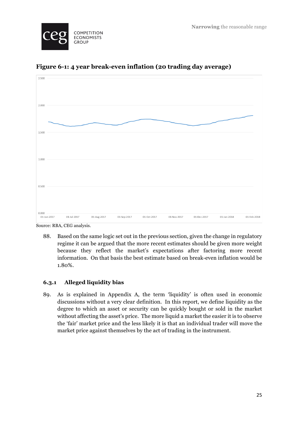



**Figure 6-1: 4 year break-even inflation (20 trading day average)**

Source: RBA, CEG analysis.

88. Based on the same logic set out in the previous section, given the change in regulatory regime it can be argued that the more recent estimates should be given more weight because they reflect the market's expectations after factoring more recent information. On that basis the best estimate based on break-even inflation would be 1.80%.

#### **6.3.1 Alleged liquidity bias**

89. As is explained in Appendix A, the term 'liquidity' is often used in economic discussions without a very clear definition. In this report, we define liquidity as the degree to which an asset or security can be quickly bought or sold in the market without affecting the asset's price. The more liquid a market the easier it is to observe the 'fair' market price and the less likely it is that an individual trader will move the market price against themselves by the act of trading in the instrument.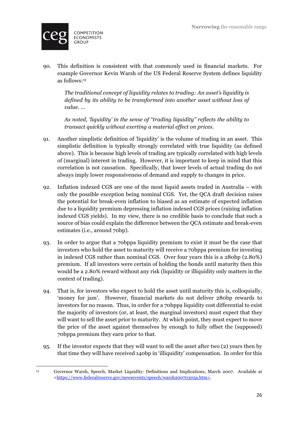

90. This definition is consistent with that commonly used in financial markets. For example Governor Kevin Warsh of the US Federal Reserve System defines liquidity as follows:13

*The traditional concept of liquidity relates to trading: An asset's liquidity is defined by its ability to be transformed into another asset without loss of value. …* 

*As noted, 'liquidity' in the sense of "trading liquidity" reflects the ability to transact quickly without exerting a material effect on prices.*

- 91. Another simplistic definition of 'liquidity' is the volume of trading in an asset. This simplistic definition is typically strongly correlated with true liquidity (as defined above). This is because high levels of trading are typically correlated with high levels of (marginal) interest in trading. However, it is important to keep in mind that this correlation is not causation. Specifically, that lower levels of actual trading do not always imply lower responsiveness of demand and supply to changes in price.
- 92. Inflation indexed CGS are one of the most liquid assets traded in Australia with only the possible exception being nominal CGS. Yet, the QCA draft decision raises the potential for break-even inflation to biased as an estimate of expected inflation due to a liquidity premium depressing inflation indexed CGS prices (raising inflation indexed CGS yields). In my view, there is no credible basis to conclude that such a source of bias could explain the difference between the QCA estimate and break-even estimates (i.e., around 70bp).
- 93. In order to argue that a 70bppa liquidity premium to exist it must be the case that investors who hold the asset to maturity will receive a 70bppa premium for investing in indexed CGS rather than nominal CGS. Over four years this is a 280bp (2.80%) premium. If all investors were certain of holding the bonds until maturity then this would be a 2.80% reward without any risk (liquidity or illiquidity only matters in the context of trading).
- 94. That is, for investors who expect to hold the asset until maturity this is, colloquially, 'money for jam'. However, financial markets do not deliver 280bp rewards to investors for no reason. Thus, in order for a 70bppa liquidity cost differential to exist the majority of investors (or, at least, the marginal investors) must expect that they will want to sell the asset prior to maturity. At which point, they must expect to move the price of the asset against themselves by enough to fully offset the (supposed) 70bppa premium they earn prior to that.
- 95. If the investor expects that they will want to sell the asset after two (2) years then by that time they will have received 140bp in 'illiquidity' compensation. In order for this

<sup>&</sup>lt;u> 1989 - Johann Barn, mars ann an t-Amhain Aonaich ann an t-Aonaich ann an t-Aonaich ann an t-Aonaich ann an t-</u> <sup>13</sup> Governor Warsh, Speech, Market Liquidity: Definitions and Implications, March 2007. Available at <https://www.federalreserve.gov/newsevents/speech/warsh20070305a.htm>.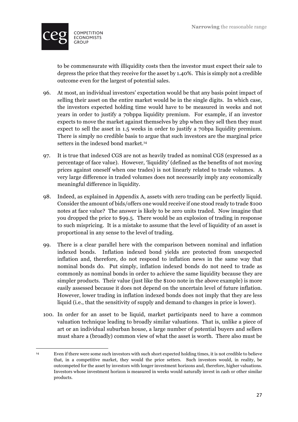

<u> 1989 - Johann Barn, mars ann an t-Amhain Aonaich ann an t-Aonaich ann an t-Aonaich ann an t-Aonaich ann an t-</u>

to be commensurate with illiquidity costs then the investor must expect their sale to depress the price that they receive for the asset by 1.40%. This is simply not a credible outcome even for the largest of potential sales.

- 96. At most, an individual investors' expectation would be that any basis point impact of selling their asset on the entire market would be in the single digits. In which case, the investors expected holding time would have to be measured in weeks and not years in order to justify a 70bppa liquidity premium. For example, if an investor expects to move the market against themselves by 2bp when they sell then they must expect to sell the asset in 1.5 weeks in order to justify a 70bpa liquidity premium. There is simply no credible basis to argue that such investors are the marginal price setters in the indexed bond market.<sup>14</sup>
- 97. It is true that indexed CGS are not as heavily traded as nominal CGS (expressed as a percentage of face value). However, 'liquidity' (defined as the benefits of not moving prices against oneself when one trades) is not linearly related to trade volumes. A very large difference in traded volumes does not necessarily imply any economically meaningful difference in liquidity.
- 98. Indeed, as explained in Appendix A, assets with zero trading can be perfectly liquid. Consider the amount of bids/offers one would receive if one stood ready to trade \$100 notes at face value? The answer is likely to be zero units traded. Now imagine that you dropped the price to \$99.5. There would be an explosion of trading in response to such mispricing. It is a mistake to assume that the level of liquidity of an asset is proportional in any sense to the level of trading.
- 99. There is a clear parallel here with the comparison between nominal and inflation indexed bonds. Inflation indexed bond yields are protected from unexpected inflation and, therefore, do not respond to inflation news in the same way that nominal bonds do. Put simply, inflation indexed bonds do not need to trade as commonly as nominal bonds in order to achieve the same liquidity because they are simpler products. Their value (just like the \$100 note in the above example) is more easily assessed because it does not depend on the uncertain level of future inflation. However, lower trading in inflation indexed bonds does not imply that they are less liquid (i.e., that the sensitivity of supply and demand to changes in price is lower).
- 100. In order for an asset to be liquid, market participants need to have a common valuation technique leading to broadly similar valuations. That is, unlike a piece of art or an individual suburban house, a large number of potential buyers and sellers must share a (broadly) common view of what the asset is worth. There also must be

<sup>14</sup> Even if there were some such investors with such short expected holding times, it is not credible to believe that, in a competitive market, they would the price setters. Such investors would, in reality, be outcompeted for the asset by investors with longer investment horizons and, therefore, higher valuations. Investors whose investment horizon is measured in weeks would naturally invest in cash or other similar products.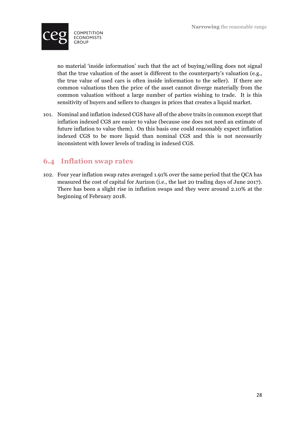

no material 'inside information' such that the act of buying/selling does not signal that the true valuation of the asset is different to the counterparty's valuation (e.g., the true value of used cars is often inside information to the seller). If there are common valuations then the price of the asset cannot diverge materially from the common valuation without a large number of parties wishing to trade. It is this sensitivity of buyers and sellers to changes in prices that creates a liquid market.

101. Nominal and inflation indexed CGS have all of the above traits in common except that inflation indexed CGS are easier to value (because one does not need an estimate of future inflation to value them). On this basis one could reasonably expect inflation indexed CGS to be more liquid than nominal CGS and this is not necessarily inconsistent with lower levels of trading in indexed CGS.

### **6.4 Inflation swap rates**

102. Four year inflation swap rates averaged 1.91% over the same period that the QCA has measured the cost of capital for Aurizon (i.e., the last 20 trading days of June 2017). There has been a slight rise in inflation swaps and they were around 2.10% at the beginning of February 2018.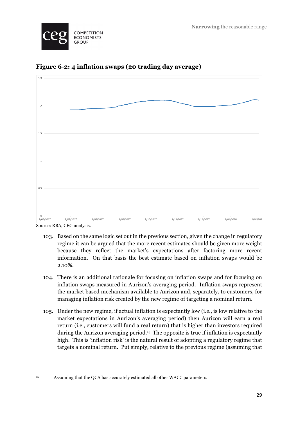



**Figure 6-2: 4 inflation swaps (20 trading day average)**

103. Based on the same logic set out in the previous section, given the change in regulatory regime it can be argued that the more recent estimates should be given more weight because they reflect the market's expectations after factoring more recent information. On that basis the best estimate based on inflation swaps would be 2.10%.

- 104. There is an additional rationale for focusing on inflation swaps and for focusing on inflation swaps measured in Aurizon's averaging period. Inflation swaps represent the market based mechanism available to Aurizon and, separately, to customers, for managing inflation risk created by the new regime of targeting a nominal return.
- 105. Under the new regime, if actual inflation is expectantly low (i.e., is low relative to the market expectations in Aurizon's averaging period) then Aurizon will earn a real return (i.e., customers will fund a real return) that is higher than investors required during the Aurizon averaging period.15 The opposite is true if inflation is expectantly high. This is 'inflation risk' is the natural result of adopting a regulatory regime that targets a nominal return. Put simply, relative to the previous regime (assuming that

<sup>&</sup>lt;u> 1989 - Johann Barn, mars ann an t-Amhain Aonaich ann an t-Aonaich ann an t-Aonaich ann an t-Aonaich ann an t-</u>

<sup>15</sup> Assuming that the QCA has accurately estimated all other WACC parameters.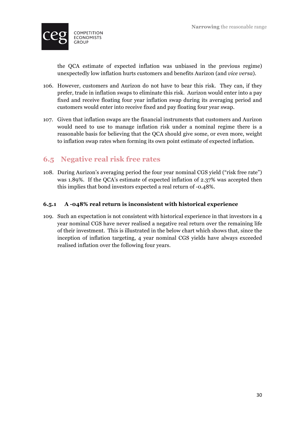

the QCA estimate of expected inflation was unbiased in the previous regime) unexpectedly low inflation hurts customers and benefits Aurizon (and *vice versa*).

- 106. However, customers and Aurizon do not have to bear this risk. They can, if they prefer, trade in inflation swaps to eliminate this risk. Aurizon would enter into a pay fixed and receive floating four year inflation swap during its averaging period and customers would enter into receive fixed and pay floating four year swap.
- 107. Given that inflation swaps are the financial instruments that customers and Aurizon would need to use to manage inflation risk under a nominal regime there is a reasonable basis for believing that the QCA should give some, or even more, weight to inflation swap rates when forming its own point estimate of expected inflation.

### **6.5 Negative real risk free rates**

108. During Aurizon's averaging period the four year nominal CGS yield ("risk free rate") was 1.89%. If the QCA's estimate of expected inflation of 2.37% was accepted then this implies that bond investors expected a real return of -0.48%.

#### **6.5.1 A -048% real return is inconsistent with historical experience**

109. Such an expectation is not consistent with historical experience in that investors in 4 year nominal CGS have never realised a negative real return over the remaining life of their investment. This is illustrated in the below chart which shows that, since the inception of inflation targeting, 4 year nominal CGS yields have always exceeded realised inflation over the following four years.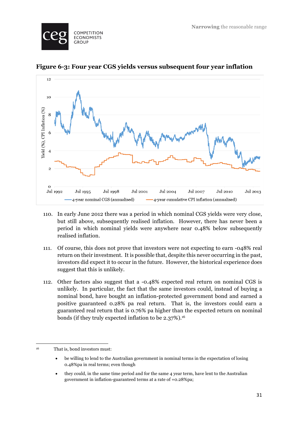



**Figure 6-3: Four year CGS yields versus subsequent four year inflation**

- 110. In early June 2012 there was a period in which nominal CGS yields were very close, but still above, subsequently realised inflation. However, there has never been a period in which nominal yields were anywhere near 0.48% below subsequently realised inflation.
- 111. Of course, this does not prove that investors were not expecting to earn -048% real return on their investment. It is possible that, despite this never occurring in the past, investors did expect it to occur in the future. However, the historical experience does suggest that this is unlikely.
- 112. Other factors also suggest that a -0.48% expected real return on nominal CGS is unlikely. In particular, the fact that the same investors could, instead of buying a nominal bond, have bought an inflation-protected government bond and earned a positive guaranteed 0.28% pa real return. That is, the investors could earn a guaranteed real return that is 0.76% pa higher than the expected return on nominal bonds (if they truly expected inflation to be 2.37%).16

<sup>&</sup>lt;u> 1989 - Johann Barn, mars ann an t-Amhain Aonaich ann an t-Aonaich ann an t-Aonaich ann an t-Aonaich ann an t-</u> <sup>16</sup> That is, bond investors must:

<sup>•</sup> be willing to lend to the Australian government in nominal terms in the expectation of losing 0.48%pa in real terms; even though

<sup>•</sup> they could, in the same time period and for the same 4 year term, have lent to the Australian government in inflation-guaranteed terms at a rate of +0.28%pa;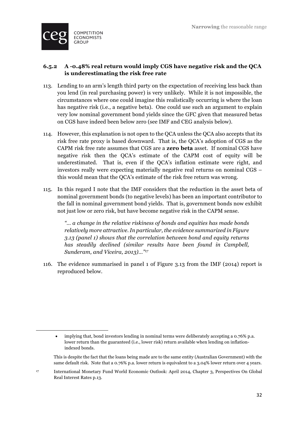

<u> 1989 - Johann Barn, mars ann an t-Amhain Aonaich ann an t-Aonaich ann an t-Aonaich ann an t-Aonaich ann an t-</u>

#### **6.5.2 A -0.48% real return would imply CGS have negative risk and the QCA is underestimating the risk free rate**

- 113. Lending to an arm's length third party on the expectation of receiving less back than you lend (in real purchasing power) is very unlikely. While it is not impossible, the circumstances where one could imagine this realistically occurring is where the loan has negative risk (i.e., a negative beta). One could use such an argument to explain very low nominal government bond yields since the GFC given that measured betas on CGS have indeed been below zero (see IMF and CEG analysis below).
- 114. However, this explanation is not open to the QCA unless the QCA also accepts that its risk free rate proxy is based downward. That is, the QCA's adoption of CGS as the CAPM risk free rate assumes that CGS are a **zero beta** asset. If nominal CGS have negative risk then the QCA's estimate of the CAPM cost of equity will be underestimated. That is, even if the QCA's inflation estimate were right, and investors really were expecting materially negative real returns on nominal CGS – this would mean that the QCA's estimate of the risk free return was wrong.
- 115. In this regard I note that the IMF considers that the reduction in the asset beta of nominal government bonds (to negative levels) has been an important contributor to the fall in nominal government bond yields. That is, government bonds now exhibit not just low or zero risk, but have become negative risk in the CAPM sense.

*"… a change in the relative riskiness of bonds and equities has made bonds relatively more attractive. In particular, the evidence summarized in Figure 3.13 (panel 1) shows that the correlation between bond and equity returns has steadily declined (similar results have been found in Campbell, Sunderam, and Viceira, 2013)…"17*

116. The evidence summarised in panel 1 of Figure 3.13 from the IMF (2014) report is reproduced below.

<sup>•</sup> implying that, bond investors lending in nominal terms were deliberately accepting a 0.76% p.a. lower return than the guaranteed (i.e., lower risk) return available when lending on inflationindexed bonds.

This is despite the fact that the loans being made are to the same entity (Australian Government) with the same default risk. Note that a 0.76% p.a. lower return is equivalent to a 3.04% lower return over 4 years.

<sup>17</sup> International Monetary Fund World Economic Outlook: April 2014, Chapter 3, Perspectives On Global Real Interest Rates p.13.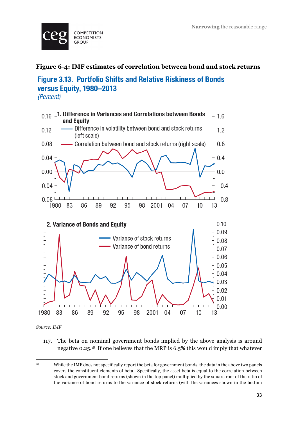

#### **Figure 6-4: IMF estimates of correlation between bond and stock returns**

# **Figure 3.13. Portfolio Shifts and Relative Riskiness of Bonds** versus Equity, 1980-2013

(Percent)



*Source: IMF*

117. The beta on nominal government bonds implied by the above analysis is around negative 0.25.18 If one believes that the MRP is 6.5% this would imply that whatever

<sup>&</sup>lt;u> 1989 - Johann Barn, mars ann an t-Amhain Aonaich ann an t-Aonaich ann an t-Aonaich ann an t-Aonaich ann an t-</u> <sup>18</sup> While the IMF does not specifically report the beta for government bonds, the data in the above two panels covers the constituent elements of beta. Specifically, the asset beta is equal to the correlation between stock and government bond returns (shown in the top panel) multiplied by the square root of the ratio of the variance of bond returns to the variance of stock returns (with the variances shown in the bottom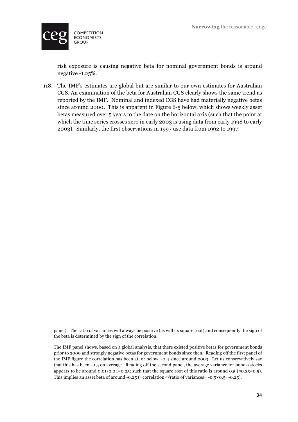

<u> 1989 - Johann Barn, mars ann an t-Amhain Aonaich ann an t-Aonaich ann an t-Aonaich ann an t-Aonaich ann an t-</u>

risk exposure is causing negative beta for nominal government bonds is around negative -1.25%.

118. The IMF's estimates are global but are similar to our own estimates for Australian CGS. An examination of the beta for Australian CGS clearly shows the same trend as reported by the IMF. Nominal and indexed CGS have had materially negative betas since around 2000. This is apparent in Figure 6-5 below, which shows weekly asset betas measured over 5 years to the date on the horizontal axis (such that the point at which the time series crosses zero in early 2003 is using data from early 1998 to early 2003). Similarly, the first observations in 1997 use data from 1992 to 1997.

panel). The ratio of variances will always be positive (as will its square root) and consequently the sign of the beta is determined by the sign of the correlation.

The IMF panel shows, based on a global analysis, that there existed positive betas for government bonds prior to 2000 and strongly negative betas for government bonds since then. Reading off the first panel of the IMF figure the correlation has been at, or below, -0.4 since around 2003. Let us conservatively say that this has been -0.5 on average. Reading off the second panel, the average variance for bonds/stocks appears to be around 0.01/0.04=0.25; such that the square root of this ratio is around 0.5 ( $\sqrt{0.25}=0.5$ ). This implies an asset beta of around  $-0.25$  (=correlation× $\sqrt{\text{ratio}}$  of variances=  $-0.5 \times 0.5 = -0.25$ ).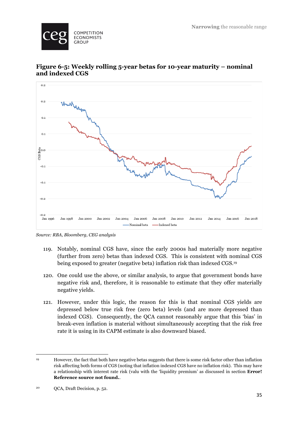



#### **Figure 6-5: Weekly rolling 5-year betas for 10-year maturity – nominal and indexed CGS**

*Source: RBA, Bloomberg, CEG analysis*

 $Jan 2000$ 

Jan 2002

 $Jan 2004$ 

Jan 2006

Nominal beta

 $Jan 1008$ 

 $-0.2$ Jan 1996

> 119. Notably, nominal CGS have, since the early 2000s had materially more negative (further from zero) betas than indexed CGS. This is consistent with nominal CGS being exposed to greater (negative beta) inflation risk than indexed CGS.19

 $Jan 2008$ 

-Indexed beta

 $Jan 2010$ 

Jan 2012

 $Jan 2014$ 

 $Jan 2016$ 

 $Jan.2018$ 

- 120. One could use the above, or similar analysis, to argue that government bonds have negative risk and, therefore, it is reasonable to estimate that they offer materially negative yields.
- 121. However, under this logic, the reason for this is that nominal CGS yields are depressed below true risk free (zero beta) levels (and are more depressed than indexed CGS). Consequently, the QCA cannot reasonably argue that this 'bias' in break-even inflation is material without simultaneously accepting that the risk free rate it is using in its CAPM estimate is also downward biased.

<u> 1989 - Johann Barn, mars ann an t-Amhain Aonaich ann an t-Aonaich ann an t-Aonaich ann an t-Aonaich ann an t-</u>

<sup>19</sup> However, the fact that both have negative betas suggests that there is some risk factor other than inflation risk affecting both forms of CGS (noting that inflation indexed CGS have no inflation risk). This may have a relationship with interest rate risk (valu with the 'liquidity premium' as discussed in section **Error! Reference source not found.**.

<sup>20</sup> QCA, Draft Decision, p. 52.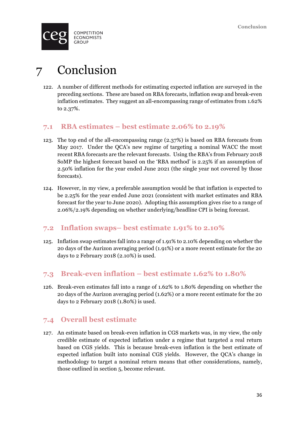

# 7 Conclusion

122. A number of different methods for estimating expected inflation are surveyed in the preceding sections. These are based on RBA forecasts, inflation swap and break-even inflation estimates. They suggest an all-encompassing range of estimates from 1.62% to 2.37%.

### **7.1 RBA estimates – best estimate 2.06% to 2.19%**

- 123. The top end of the all-encompassing range (2.37%) is based on RBA forecasts from May 2017. Under the QCA's new regime of targeting a nominal WACC the most recent RBA forecasts are the relevant forecasts. Using the RBA's from February 2018 SoMP the highest forecast based on the 'RBA method' is 2.25% if an assumption of 2.50% inflation for the year ended June 2021 (the single year not covered by those forecasts).
- 124. However, in my view, a preferable assumption would be that inflation is expected to be 2.25% for the year ended June 2021 (consistent with market estimates and RBA forecast for the year to June 2020). Adopting this assumption gives rise to a range of 2.06%/2.19% depending on whether underlying/headline CPI is being forecast.

#### **7.2 Inflation swaps– best estimate 1.91% to 2.10%**

125. Inflation swap estimates fall into a range of 1.91% to 2.10% depending on whether the 20 days of the Aurizon averaging period (1.91%) or a more recent estimate for the 20 days to 2 February 2018 (2.10%) is used.

### **7.3 Break-even inflation – best estimate 1.62% to 1.80%**

126. Break-even estimates fall into a range of 1.62% to 1.80% depending on whether the 20 days of the Aurizon averaging period (1.62%) or a more recent estimate for the 20 days to 2 February 2018 (1.80%) is used.

### **7.4 Overall best estimate**

127. An estimate based on break-even inflation in CGS markets was, in my view, the only credible estimate of expected inflation under a regime that targeted a real return based on CGS yields. This is because break-even inflation is the best estimate of expected inflation built into nominal CGS yields. However, the QCA's change in methodology to target a nominal return means that other considerations, namely, those outlined in section 5, become relevant.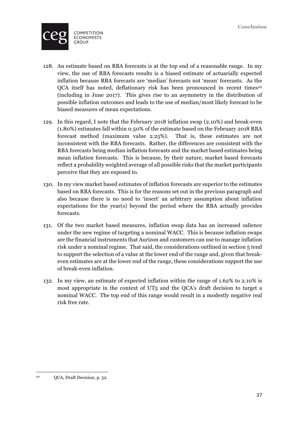

- 128. An estimate based on RBA forecasts is at the top end of a reasonable range. In my view, the use of RBA forecasts results is a biased estimate of actuarially expected inflation because RBA forecasts are 'median' forecasts not 'mean' forecasts. As the QCA itself has noted, deflationary risk has been pronounced in recent times<sup>20</sup> (including in June 2017). This gives rise to an asymmetry in the distribution of possible inflation outcomes and leads to the use of median/most likely forecast to be biased measures of mean expectations.
- 129. In this regard, I note that the February 2018 inflation swap (2.10%) and break-even (1.80%) estimates fall within 0.50% of the estimate based on the February 2018 RBA forecast method (maximum value 2.25%). That is, these estimates are not inconsistent with the RBA forecasts. Rather, the differences are consistent with the RBA forecasts being median inflation forecasts and the market based estimates being mean inflation forecasts. This is because, by their nature, market based forecasts reflect a probability weighted average of all possible risks that the market participants perceive that they are exposed to.
- 130. In my view market based estimates of inflation forecasts are superior to the estimates based on RBA forecasts. This is for the reasons set out in the previous paragraph and also because there is no need to 'insert' an arbitrary assumption about inflation expectations for the year(s) beyond the period where the RBA actually provides forecasts.
- 131. Of the two market based measures, inflation swap data has an increased salience under the new regime of targeting a nominal WACC. This is because inflation swaps are the financial instruments that Aurizon and customers can use to manage inflation risk under a nominal regime. That said, the considerations outlined in section 5 tend to support the selection of a value at the lower end of the range and, given that breakeven estimates are at the lower end of the range, these considerations support the use of break-even inflation.
- 132. In my view, an estimate of expected inflation within the range of 1.62% to 2.10% is most appropriate in the context of UT5 and the QCA's draft decision to target a nominal WACC. The top end of this range would result in a modestly negative real risk free rate.

<sup>&</sup>lt;u> 1989 - Johann Barn, mars ann an t-Amhain Aonaich ann an t-Aonaich ann an t-Aonaich ann an t-Aonaich ann an t-</u> <sup>20</sup> QCA, Draft Decision, p. 52.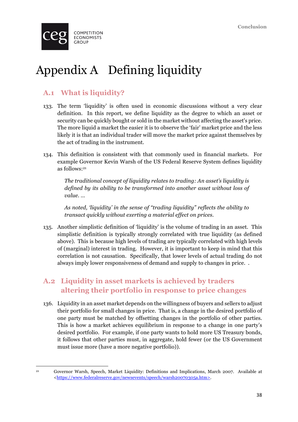

# Appendix A Defining liquidity

# **A.1 What is liquidity?**

- 133. The term 'liquidity' is often used in economic discussions without a very clear definition. In this report, we define liquidity as the degree to which an asset or security can be quickly bought or sold in the market without affecting the asset's price. The more liquid a market the easier it is to observe the 'fair' market price and the less likely it is that an individual trader will move the market price against themselves by the act of trading in the instrument.
- 134. This definition is consistent with that commonly used in financial markets. For example Governor Kevin Warsh of the US Federal Reserve System defines liquidity as follows:21

*The traditional concept of liquidity relates to trading: An asset's liquidity is defined by its ability to be transformed into another asset without loss of value. …* 

*As noted, 'liquidity' in the sense of "trading liquidity" reflects the ability to transact quickly without exerting a material effect on prices.*

135. Another simplistic definition of 'liquidity' is the volume of trading in an asset. This simplistic definition is typically strongly correlated with true liquidity (as defined above). This is because high levels of trading are typically correlated with high levels of (marginal) interest in trading. However, it is important to keep in mind that this correlation is not causation. Specifically, that lower levels of actual trading do not always imply lower responsiveness of demand and supply to changes in price. .

# **A.2 Liquidity in asset markets is achieved by traders altering their portfolio in response to price changes**

136. Liquidity in an asset market depends on the willingness of buyers and sellers to adjust their portfolio for small changes in price. That is, a change in the desired portfolio of one party must be matched by offsetting changes in the portfolio of other parties. This is how a market achieves equilibrium in response to a change in one party's desired portfolio. For example, if one party wants to hold more US Treasury bonds, it follows that other parties must, in aggregate, hold fewer (or the US Government must issue more (have a more negative portfolio)).

<u> 1989 - Johann Barn, mars ann an t-Amhain Aonaich ann an t-Aonaich ann an t-Aonaich ann an t-Aonaich ann an t-</u>

<sup>21</sup> Governor Warsh, Speech, Market Liquidity: Definitions and Implications, March 2007. Available at <https://www.federalreserve.gov/newsevents/speech/warsh20070305a.htm>.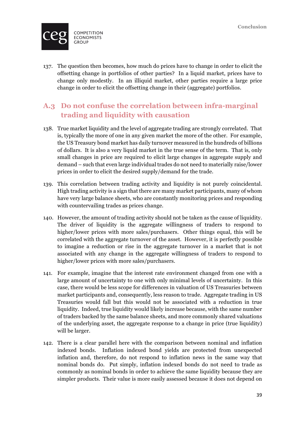

137. The question then becomes, how much do prices have to change in order to elicit the offsetting change in portfolios of other parties? In a liquid market, prices have to change only modestly. In an illiquid market, other parties require a large price change in order to elicit the offsetting change in their (aggregate) portfolios.

# **A.3 Do not confuse the correlation between infra-marginal trading and liquidity with causation**

- 138. True market liquidity and the level of aggregate trading are strongly correlated. That is, typically the more of one in any given market the more of the other. For example, the US Treasury bond market has daily turnover measured in the hundreds of billions of dollars. It is also a very liquid market in the true sense of the term. That is, only small changes in price are required to elicit large changes in aggregate supply and demand – such that even large individual trades do not need to materially raise/lower prices in order to elicit the desired supply/demand for the trade.
- 139. This correlation between trading activity and liquidity is not purely coincidental. High trading activity is a sign that there are many market participants, many of whom have very large balance sheets, who are constantly monitoring prices and responding with countervailing trades as prices change.
- 140. However, the amount of trading activity should not be taken as the cause of liquidity. The driver of liquidity is the aggregate willingness of traders to respond to higher/lower prices with more sales/purchasers. Other things equal, this will be correlated with the aggregate turnover of the asset. However, it is perfectly possible to imagine a reduction or rise in the aggregate turnover in a market that is not associated with any change in the aggregate willingness of traders to respond to higher/lower prices with more sales/purchasers.
- 141. For example, imagine that the interest rate environment changed from one with a large amount of uncertainty to one with only minimal levels of uncertainty. In this case, there would be less scope for differences in valuation of US Treasuries between market participants and, consequently, less reason to trade. Aggregate trading in US Treasuries would fall but this would not be associated with a reduction in true liquidity. Indeed, true liquidity would likely increase because, with the same number of traders backed by the same balance sheets, and more commonly shared valuations of the underlying asset, the aggregate response to a change in price (true liquidity) will be larger.
- 142. There is a clear parallel here with the comparison between nominal and inflation indexed bonds. Inflation indexed bond yields are protected from unexpected inflation and, therefore, do not respond to inflation news in the same way that nominal bonds do. Put simply, inflation indexed bonds do not need to trade as commonly as nominal bonds in order to achieve the same liquidity because they are simpler products. Their value is more easily assessed because it does not depend on